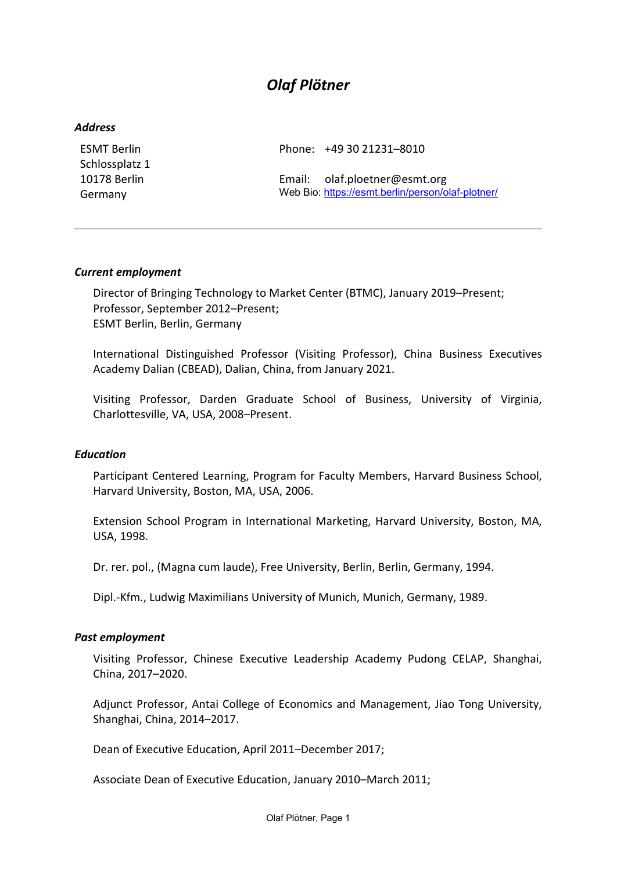# *Olaf Plötner*

#### *Address*

ESMT Berlin Schlossplatz 1 10178 Berlin Germany

Phone: +49 30 21231–8010

Email: olaf.ploetner@esmt.org Web Bio:<https://esmt.berlin/person/olaf-plotner/>

#### *Current employment*

Director of Bringing Technology to Market Center (BTMC), January 2019–Present; Professor, September 2012–Present; ESMT Berlin, Berlin, Germany

International Distinguished Professor (Visiting Professor), China Business Executives Academy Dalian (CBEAD), Dalian, China, from January 2021.

Visiting Professor, Darden Graduate School of Business, University of Virginia, Charlottesville, VA, USA, 2008–Present.

## *Education*

Participant Centered Learning, Program for Faculty Members, Harvard Business School, Harvard University, Boston, MA, USA, 2006.

Extension School Program in International Marketing, Harvard University, Boston, MA, USA, 1998.

Dr. rer. pol., (Magna cum laude), Free University, Berlin, Berlin, Germany, 1994.

Dipl.-Kfm., Ludwig Maximilians University of Munich, Munich, Germany, 1989.

#### *Past employment*

Visiting Professor, Chinese Executive Leadership Academy Pudong CELAP, Shanghai, China, 2017–2020.

Adjunct Professor, Antai College of Economics and Management, Jiao Tong University, Shanghai, China, 2014–2017.

Dean of Executive Education, April 2011–December 2017;

Associate Dean of Executive Education, January 2010–March 2011;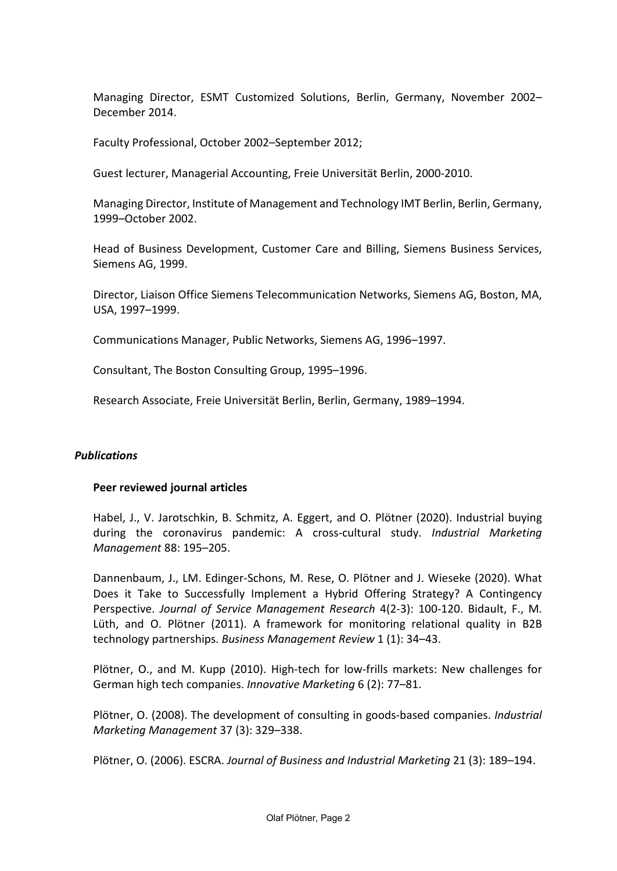Managing Director, ESMT Customized Solutions, Berlin, Germany, November 2002– December 2014.

Faculty Professional, October 2002–September 2012;

Guest lecturer, Managerial Accounting, Freie Universität Berlin, 2000-2010.

Managing Director, Institute of Management and Technology IMT Berlin, Berlin, Germany, 1999–October 2002.

Head of Business Development, Customer Care and Billing, Siemens Business Services, Siemens AG, 1999.

Director, Liaison Office Siemens Telecommunication Networks, Siemens AG, Boston, MA, USA, 1997–1999.

Communications Manager, Public Networks, Siemens AG, 1996–1997.

Consultant, The Boston Consulting Group, 1995–1996.

Research Associate, Freie Universität Berlin, Berlin, Germany, 1989–1994.

## *Publications*

## **Peer reviewed journal articles**

Habel, J., V. Jarotschkin, B. Schmitz, A. Eggert, and O. Plötner (2020). Industrial buying during the coronavirus pandemic: A cross-cultural study. *Industrial Marketing Management* 88: 195–205.

Dannenbaum, J., LM. Edinger-Schons, M. Rese, O. Plötner and J. Wieseke (2020). What Does it Take to Successfully Implement a Hybrid Offering Strategy? A Contingency Perspective. *Journal of Service Management Research* 4(2-3): 100-120. Bidault, F., M. Lüth, and O. Plötner (2011). A framework for monitoring relational quality in B2B technology partnerships. *Business Management Review* 1 (1): 34–43.

Plötner, O., and M. Kupp (2010). High-tech for low-frills markets: New challenges for German high tech companies. *Innovative Marketing* 6 (2): 77–81.

Plötner, O. (2008). The development of consulting in goods-based companies. *Industrial Marketing Management* 37 (3): 329–338.

Plötner, O. (2006). ESCRA. *Journal of Business and Industrial Marketing* 21 (3): 189–194.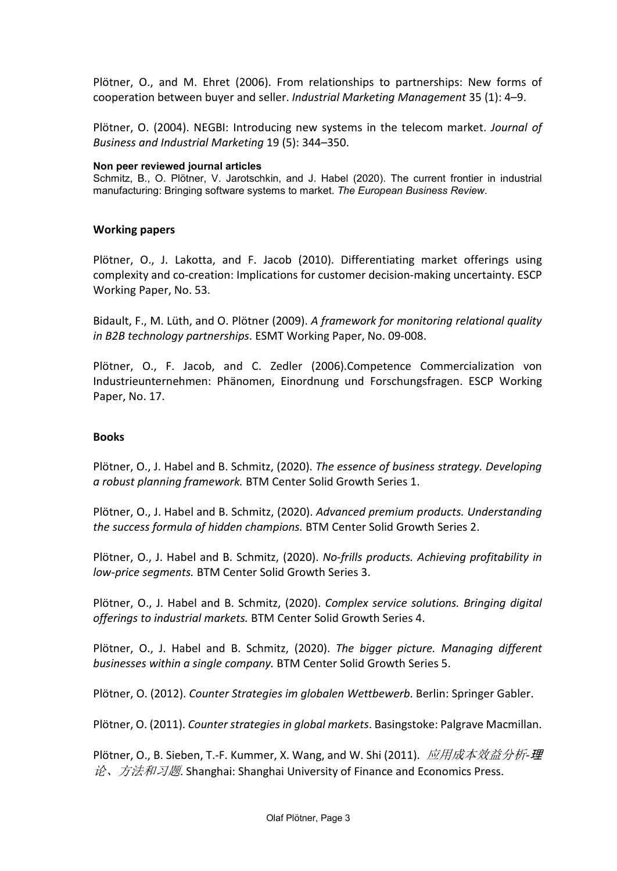Plötner, O., and M. Ehret (2006). From relationships to partnerships: New forms of cooperation between buyer and seller. *Industrial Marketing Management* 35 (1): 4–9.

Plötner, O. (2004). NEGBI: Introducing new systems in the telecom market. *Journal of Business and Industrial Marketing* 19 (5): 344–350.

#### **Non peer reviewed journal articles**

Schmitz, B., O. Plötner, V. Jarotschkin, and J. Habel (2020). The current frontier in industrial manufacturing: Bringing software systems to market. *The European Business Review*.

#### **Working papers**

Plötner, O., J. Lakotta, and F. Jacob (2010). Differentiating market offerings using complexity and co-creation: Implications for customer decision-making uncertainty. ESCP Working Paper, No. 53.

Bidault, F., M. Lüth, and O. Plötner (2009). *A framework for monitoring relational quality in B2B technology partnerships*. ESMT Working Paper, No. 09-008.

Plötner, O., F. Jacob, and C. Zedler (2006).Competence Commercialization von Industrieunternehmen: Phänomen, Einordnung und Forschungsfragen. ESCP Working Paper, No. 17.

#### **Books**

Plötner, O., J. Habel and B. Schmitz, (2020). *The essence of business strategy. Developing a robust planning framework.* BTM Center Solid Growth Series 1.

Plötner, O., J. Habel and B. Schmitz, (2020). *Advanced premium products. Understanding the success formula of hidden champions.* BTM Center Solid Growth Series 2.

Plötner, O., J. Habel and B. Schmitz, (2020). *No-frills products. Achieving profitability in low-price segments.* BTM Center Solid Growth Series 3.

Plötner, O., J. Habel and B. Schmitz, (2020). *Complex service solutions. Bringing digital offerings to industrial markets.* BTM Center Solid Growth Series 4.

Plötner, O., J. Habel and B. Schmitz, (2020). *The bigger picture. Managing different businesses within a single company.* BTM Center Solid Growth Series 5.

Plötner, O. (2012). *Counter Strategies im globalen Wettbewerb*. Berlin: Springer Gabler.

Plötner, O. (2011). *Counter strategies in global markets*. Basingstoke: Palgrave Macmillan.

Plötner, O., B. Sieben, T.-F. Kummer, X. Wang, and W. Shi (2011). 应用成本效益分析*-*理  $\hat{E}$ 、方法和习题. Shanghai: Shanghai University of Finance and Economics Press.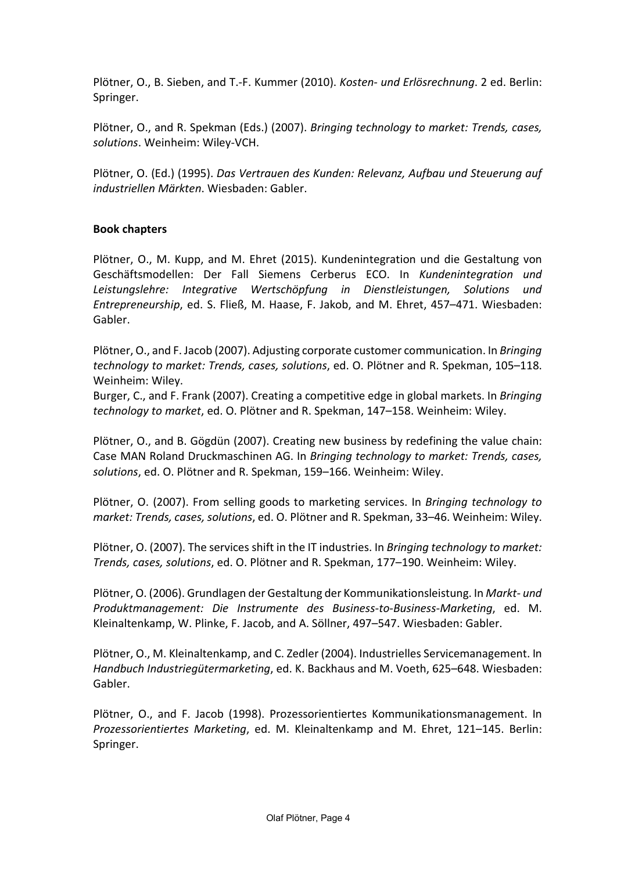Plötner, O., B. Sieben, and T.-F. Kummer (2010). *Kosten- und Erlösrechnung*. 2 ed. Berlin: Springer.

Plötner, O., and R. Spekman (Eds.) (2007). *Bringing technology to market: Trends, cases, solutions*. Weinheim: Wiley-VCH.

Plötner, O. (Ed.) (1995). *Das Vertrauen des Kunden: Relevanz, Aufbau und Steuerung auf industriellen Märkten*. Wiesbaden: Gabler.

# **Book chapters**

Plötner, O., M. Kupp, and M. Ehret (2015). Kundenintegration und die Gestaltung von Geschäftsmodellen: Der Fall Siemens Cerberus ECO. In *Kundenintegration und Leistungslehre: Integrative Wertschöpfung in Dienstleistungen, Solutions und Entrepreneurship*, ed. S. Fließ, M. Haase, F. Jakob, and M. Ehret, 457–471. Wiesbaden: Gabler.

Plötner, O., and F. Jacob (2007). Adjusting corporate customer communication. In *Bringing technology to market: Trends, cases, solutions*, ed. O. Plötner and R. Spekman, 105–118. Weinheim: Wiley.

Burger, C., and F. Frank (2007). Creating a competitive edge in global markets. In *Bringing technology to market*, ed. O. Plötner and R. Spekman, 147–158. Weinheim: Wiley.

Plötner, O., and B. Gögdün (2007). Creating new business by redefining the value chain: Case MAN Roland Druckmaschinen AG. In *Bringing technology to market: Trends, cases, solutions*, ed. O. Plötner and R. Spekman, 159–166. Weinheim: Wiley.

Plötner, O. (2007). From selling goods to marketing services. In *Bringing technology to market: Trends, cases, solutions*, ed. O. Plötner and R. Spekman, 33–46. Weinheim: Wiley.

Plötner, O. (2007). The services shift in the IT industries. In *Bringing technology to market: Trends, cases, solutions*, ed. O. Plötner and R. Spekman, 177–190. Weinheim: Wiley.

Plötner, O. (2006). Grundlagen der Gestaltung der Kommunikationsleistung. In *Markt- und Produktmanagement: Die Instrumente des Business-to-Business-Marketing*, ed. M. Kleinaltenkamp, W. Plinke, F. Jacob, and A. Söllner, 497–547. Wiesbaden: Gabler.

Plötner, O., M. Kleinaltenkamp, and C. Zedler (2004). Industrielles Servicemanagement. In *Handbuch Industriegütermarketing*, ed. K. Backhaus and M. Voeth, 625–648. Wiesbaden: Gabler.

Plötner, O., and F. Jacob (1998). Prozessorientiertes Kommunikationsmanagement. In *Prozessorientiertes Marketing*, ed. M. Kleinaltenkamp and M. Ehret, 121–145. Berlin: Springer.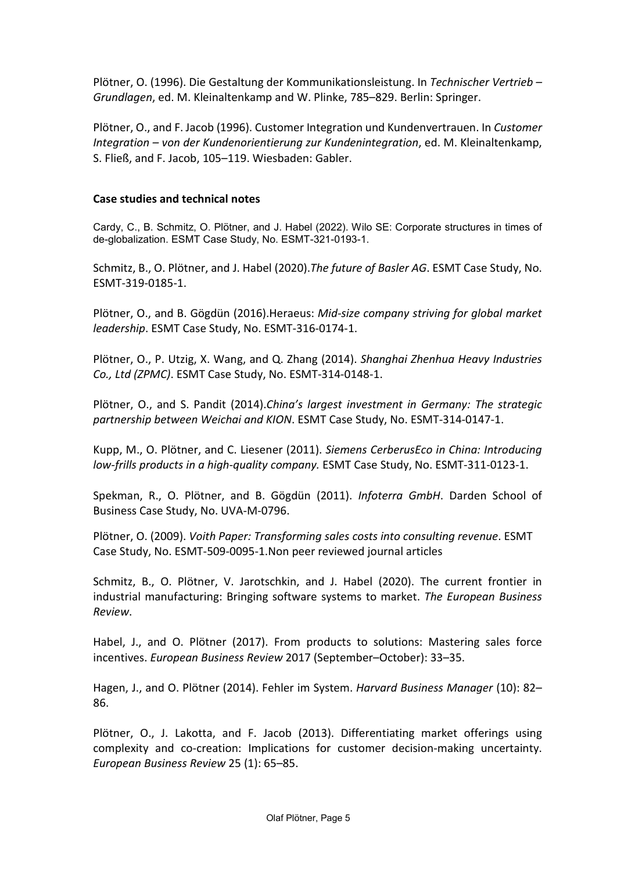Plötner, O. (1996). Die Gestaltung der Kommunikationsleistung. In *Technischer Vertrieb – Grundlagen*, ed. M. Kleinaltenkamp and W. Plinke, 785–829. Berlin: Springer.

Plötner, O., and F. Jacob (1996). Customer Integration und Kundenvertrauen. In *Customer Integration – von der Kundenorientierung zur Kundenintegration*, ed. M. Kleinaltenkamp, S. Fließ, and F. Jacob, 105–119. Wiesbaden: Gabler.

## **Case studies and technical notes**

Cardy, C., B. Schmitz, O. Plötner, and J. Habel (2022). Wilo SE: Corporate structures in times of de-globalization. ESMT Case Study, No. ESMT-321-0193-1.

Schmitz, B., O. Plötner, and J. Habel (2020).*The future of Basler AG*. ESMT Case Study, No. ESMT-319-0185-1.

Plötner, O., and B. Gögdün (2016).Heraeus: *Mid-size company striving for global market leadership*. ESMT Case Study, No. ESMT-316-0174-1.

Plötner, O., P. Utzig, X. Wang, and Q. Zhang (2014). *Shanghai Zhenhua Heavy Industries Co., Ltd (ZPMC)*. ESMT Case Study, No. ESMT-314-0148-1.

Plötner, O., and S. Pandit (2014).*China's largest investment in Germany: The strategic partnership between Weichai and KION*. ESMT Case Study, No. ESMT-314-0147-1.

Kupp, M., O. Plötner, and C. Liesener (2011). *Siemens CerberusEco in China: Introducing low-frills products in a high-quality company.* ESMT Case Study, No. ESMT-311-0123-1.

Spekman, R., O. Plötner, and B. Gögdün (2011). *Infoterra GmbH*. Darden School of Business Case Study, No. UVA-M-0796.

Plötner, O. (2009). *Voith Paper: Transforming sales costs into consulting revenue*. ESMT Case Study, No. ESMT-509-0095-1.Non peer reviewed journal articles

Schmitz, B., O. Plötner, V. Jarotschkin, and J. Habel (2020). The current frontier in industrial manufacturing: Bringing software systems to market. *The European Business Review*.

Habel, J., and O. Plötner (2017). From products to solutions: Mastering sales force incentives. *European Business Review* 2017 (September–October): 33–35.

Hagen, J., and O. Plötner (2014). Fehler im System. *Harvard Business Manager* (10): 82– 86.

Plötner, O., J. Lakotta, and F. Jacob (2013). Differentiating market offerings using complexity and co-creation: Implications for customer decision-making uncertainty. *European Business Review* 25 (1): 65–85.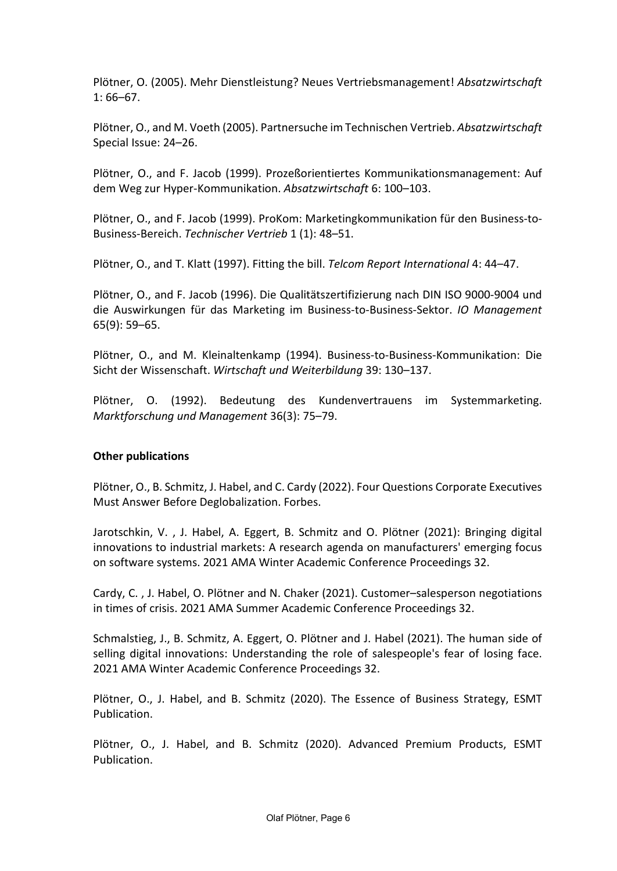Plötner, O. (2005). Mehr Dienstleistung? Neues Vertriebsmanagement! *Absatzwirtschaft* 1: 66–67.

Plötner, O., and M. Voeth (2005). Partnersuche im Technischen Vertrieb. *Absatzwirtschaft* Special Issue: 24–26.

Plötner, O., and F. Jacob (1999). Prozeßorientiertes Kommunikationsmanagement: Auf dem Weg zur Hyper-Kommunikation. *Absatzwirtschaft* 6: 100–103.

Plötner, O., and F. Jacob (1999). ProKom: Marketingkommunikation für den Business-to-Business-Bereich. *Technischer Vertrieb* 1 (1): 48–51.

Plötner, O., and T. Klatt (1997). Fitting the bill. *Telcom Report International* 4: 44–47.

Plötner, O., and F. Jacob (1996). Die Qualitätszertifizierung nach DIN ISO 9000-9004 und die Auswirkungen für das Marketing im Business-to-Business-Sektor. *IO Management* 65(9): 59–65.

Plötner, O., and M. Kleinaltenkamp (1994). Business-to-Business-Kommunikation: Die Sicht der Wissenschaft. *Wirtschaft und Weiterbildung* 39: 130–137.

Plötner, O. (1992). Bedeutung des Kundenvertrauens im Systemmarketing. *Marktforschung und Management* 36(3): 75–79.

# **Other publications**

Plötner, O., B. Schmitz, J. Habel, and C. Cardy (2022). Four Questions Corporate Executives Must Answer Before Deglobalization. Forbes.

Jarotschkin, V. , J. Habel, A. Eggert, B. Schmitz and O. Plötner (2021): Bringing digital innovations to industrial markets: A research agenda on manufacturers' emerging focus on software systems. 2021 AMA Winter Academic Conference Proceedings 32.

Cardy, C. , J. Habel, O. Plötner and N. Chaker (2021). Customer–salesperson negotiations in times of crisis. 2021 AMA Summer Academic Conference Proceedings 32.

Schmalstieg, J., B. Schmitz, A. Eggert, O. Plötner and J. Habel (2021). The human side of selling digital innovations: Understanding the role of salespeople's fear of losing face. 2021 AMA Winter Academic Conference Proceedings 32.

Plötner, O., J. Habel, and B. Schmitz (2020). The Essence of Business Strategy, ESMT Publication.

Plötner, O., J. Habel, and B. Schmitz (2020). Advanced Premium Products, ESMT Publication.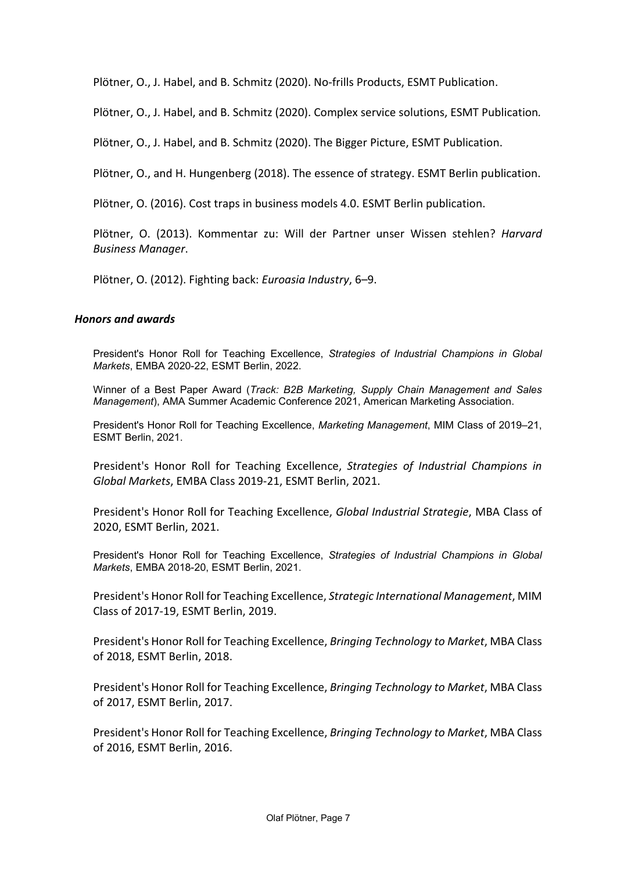Plötner, O., J. Habel, and B. Schmitz (2020). No-frills Products, ESMT Publication.

Plötner, O., J. Habel, and B. Schmitz (2020). Complex service solutions, ESMT Publication*.* 

Plötner, O., J. Habel, and B. Schmitz (2020). The Bigger Picture, ESMT Publication.

Plötner, O., and H. Hungenberg (2018). The essence of strategy. ESMT Berlin publication.

Plötner, O. (2016). Cost traps in business models 4.0. ESMT Berlin publication.

Plötner, O. (2013). Kommentar zu: Will der Partner unser Wissen stehlen? *Harvard Business Manager*.

Plötner, O. (2012). Fighting back: *Euroasia Industry*, 6–9.

#### *Honors and awards*

President's Honor Roll for Teaching Excellence, *Strategies of Industrial Champions in Global Markets*, EMBA 2020-22, ESMT Berlin, 2022.

Winner of a Best Paper Award (*Track: B2B Marketing, Supply Chain Management and Sales Management*), AMA Summer Academic Conference 2021, American Marketing Association.

President's Honor Roll for Teaching Excellence, *Marketing Management*, MIM Class of 2019–21, ESMT Berlin, 2021.

President's Honor Roll for Teaching Excellence, *Strategies of Industrial Champions in Global Markets*, EMBA Class 2019-21, ESMT Berlin, 2021.

President's Honor Roll for Teaching Excellence, *Global Industrial Strategie*, MBA Class of 2020, ESMT Berlin, 2021.

President's Honor Roll for Teaching Excellence, *Strategies of Industrial Champions in Global Markets*, EMBA 2018-20, ESMT Berlin, 2021.

President's Honor Roll for Teaching Excellence, *Strategic International Management*, MIM Class of 2017-19, ESMT Berlin, 2019.

President's Honor Roll for Teaching Excellence, *Bringing Technology to Market*, MBA Class of 2018, ESMT Berlin, 2018.

President's Honor Roll for Teaching Excellence, *Bringing Technology to Market*, MBA Class of 2017, ESMT Berlin, 2017.

President's Honor Roll for Teaching Excellence, *Bringing Technology to Market*, MBA Class of 2016, ESMT Berlin, 2016.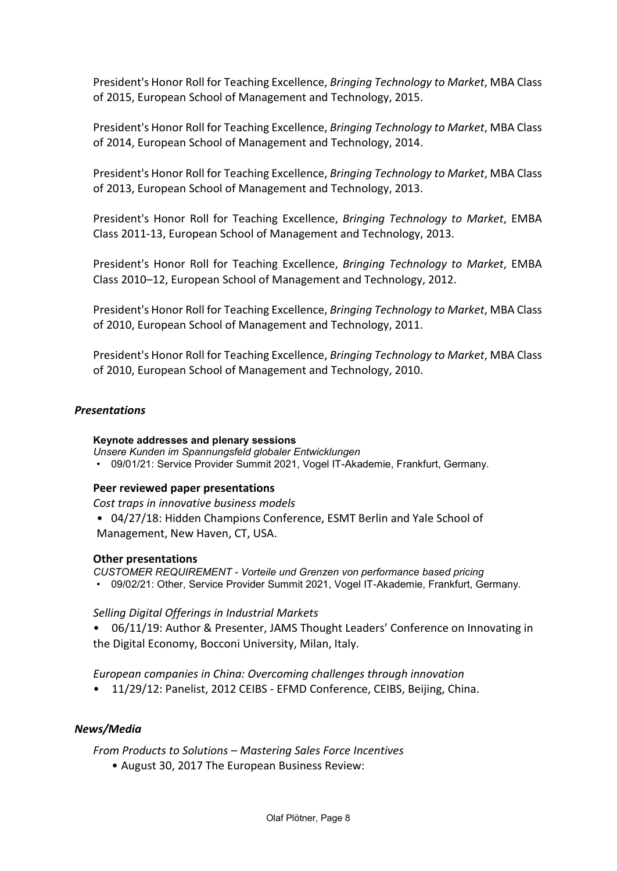President's Honor Roll for Teaching Excellence, *Bringing Technology to Market*, MBA Class of 2015, European School of Management and Technology, 2015.

President's Honor Roll for Teaching Excellence, *Bringing Technology to Market*, MBA Class of 2014, European School of Management and Technology, 2014.

President's Honor Roll for Teaching Excellence, *Bringing Technology to Market*, MBA Class of 2013, European School of Management and Technology, 2013.

President's Honor Roll for Teaching Excellence, *Bringing Technology to Market*, EMBA Class 2011-13, European School of Management and Technology, 2013.

President's Honor Roll for Teaching Excellence, *Bringing Technology to Market*, EMBA Class 2010–12, European School of Management and Technology, 2012.

President's Honor Roll for Teaching Excellence, *Bringing Technology to Market*, MBA Class of 2010, European School of Management and Technology, 2011.

President's Honor Roll for Teaching Excellence, *Bringing Technology to Market*, MBA Class of 2010, European School of Management and Technology, 2010.

## *Presentations*

#### **Keynote addresses and plenary sessions**

*Unsere Kunden im Spannungsfeld globaler Entwicklungen*

• 09/01/21: Service Provider Summit 2021, Vogel IT-Akademie, Frankfurt, Germany.

## **Peer reviewed paper presentations**

*Cost traps in innovative business models*

• 04/27/18: Hidden Champions Conference, ESMT Berlin and Yale School of Management, New Haven, CT, USA.

## **Other presentations**

*CUSTOMER REQUIREMENT - Vorteile und Grenzen von performance based pricing*

• 09/02/21: Other, Service Provider Summit 2021, Vogel IT-Akademie, Frankfurt, Germany.

## *Selling Digital Offerings in Industrial Markets*

• 06/11/19: Author & Presenter, JAMS Thought Leaders' Conference on Innovating in the Digital Economy, Bocconi University, Milan, Italy.

## *European companies in China: Overcoming challenges through innovation*

• 11/29/12: Panelist, 2012 CEIBS - EFMD Conference, CEIBS, Beijing, China.

## *News/Media*

*From Products to Solutions – Mastering Sales Force Incentives*

• August 30, 2017 The European Business Review: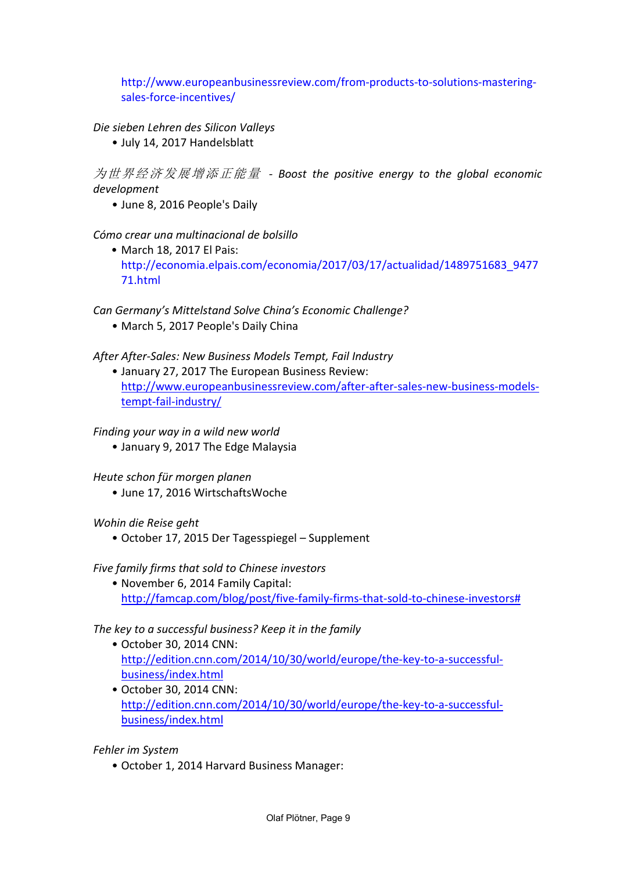[http://www.europeanbusinessreview.com/from-products-to-solutions-mastering](http://www.europeanbusinessreview.com/from-products-to-solutions-mastering-sales-force-incentives/)[sales-force-incentives/](http://www.europeanbusinessreview.com/from-products-to-solutions-mastering-sales-force-incentives/)

*Die sieben Lehren des Silicon Valleys*

• July 14, 2017 Handelsblatt

为世界经济发展增添正能量 *- Boost the positive energy to the global economic development*

• June 8, 2016 People's Daily

*Cómo crear una multinacional de bolsillo*

• March 18, 2017 El Pais: [http://economia.elpais.com/economia/2017/03/17/actualidad/1489751683\\_9477](http://economia.elpais.com/economia/2017/03/17/actualidad/1489751683_947771.html) [71.html](http://economia.elpais.com/economia/2017/03/17/actualidad/1489751683_947771.html)

*Can Germany's Mittelstand Solve China's Economic Challenge?*

• March 5, 2017 People's Daily China

*After After-Sales: New Business Models Tempt, Fail Industry*

• January 27, 2017 The European Business Review: [http://www.europeanbusinessreview.com/after-after-sales-new-business-models](http://www.europeanbusinessreview.com/after-after-sales-new-business-models-tempt-fail-industry/)[tempt-fail-industry/](http://www.europeanbusinessreview.com/after-after-sales-new-business-models-tempt-fail-industry/)

*Finding your way in a wild new world*

• January 9, 2017 The Edge Malaysia

*Heute schon für morgen planen*

• June 17, 2016 WirtschaftsWoche

*Wohin die Reise geht*

• October 17, 2015 Der Tagesspiegel – Supplement

*Five family firms that sold to Chinese investors*

• November 6, 2014 Family Capital: [http://famcap.com/blog/post/five-family-firms-that-sold-to-chinese-investors#](http://famcap.com/blog/post/five-family-firms-that-sold-to-chinese-investors)

*The key to a successful business? Keep it in the family*

- October 30, 2014 CNN: [http://edition.cnn.com/2014/10/30/world/europe/the-key-to-a-successful](http://edition.cnn.com/2014/10/30/world/europe/the-key-to-a-successful-business/index.html)[business/index.html](http://edition.cnn.com/2014/10/30/world/europe/the-key-to-a-successful-business/index.html)
- October 30, 2014 CNN: [http://edition.cnn.com/2014/10/30/world/europe/the-key-to-a-successful](http://edition.cnn.com/2014/10/30/world/europe/the-key-to-a-successful-business/index.html)[business/index.html](http://edition.cnn.com/2014/10/30/world/europe/the-key-to-a-successful-business/index.html)

*Fehler im System*

• October 1, 2014 Harvard Business Manager: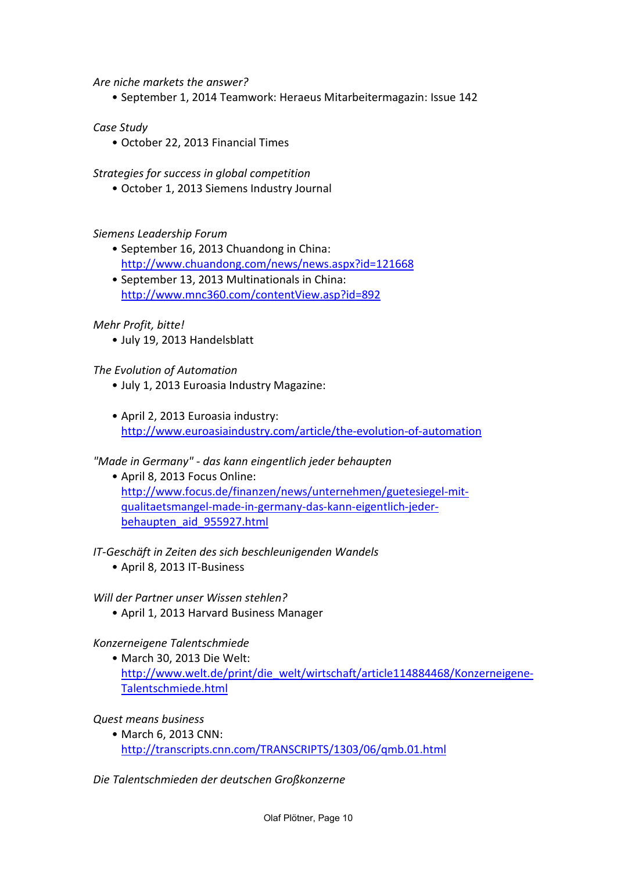*Are niche markets the answer?*

• September 1, 2014 Teamwork: Heraeus Mitarbeitermagazin: Issue 142

*Case Study*

• October 22, 2013 Financial Times

*Strategies for success in global competition*

• October 1, 2013 Siemens Industry Journal

## *Siemens Leadership Forum*

- September 16, 2013 Chuandong in China: <http://www.chuandong.com/news/news.aspx?id=121668>
- September 13, 2013 Multinationals in China: <http://www.mnc360.com/contentView.asp?id=892>

## *Mehr Profit, bitte!*

• July 19, 2013 Handelsblatt

#### *The Evolution of Automation*

- July 1, 2013 Euroasia Industry Magazine:
- April 2, 2013 Euroasia industry: <http://www.euroasiaindustry.com/article/the-evolution-of-automation>

## *"Made in Germany" - das kann eingentlich jeder behaupten*

• April 8, 2013 Focus Online: [http://www.focus.de/finanzen/news/unternehmen/guetesiegel-mit](http://www.focus.de/finanzen/news/unternehmen/guetesiegel-mit-qualitaetsmangel-made-in-germany-das-kann-eigentlich-jeder-behaupten_aid_955927.html)[qualitaetsmangel-made-in-germany-das-kann-eigentlich-jeder](http://www.focus.de/finanzen/news/unternehmen/guetesiegel-mit-qualitaetsmangel-made-in-germany-das-kann-eigentlich-jeder-behaupten_aid_955927.html)[behaupten\\_aid\\_955927.html](http://www.focus.de/finanzen/news/unternehmen/guetesiegel-mit-qualitaetsmangel-made-in-germany-das-kann-eigentlich-jeder-behaupten_aid_955927.html)

## *IT-Geschäft in Zeiten des sich beschleunigenden Wandels*

• April 8, 2013 IT-Business

## *Will der Partner unser Wissen stehlen?*

• April 1, 2013 Harvard Business Manager

## *Konzerneigene Talentschmiede*

• March 30, 2013 Die Welt: [http://www.welt.de/print/die\\_welt/wirtschaft/article114884468/Konzerneigene-](http://www.welt.de/print/die_welt/wirtschaft/article114884468/Konzerneigene-Talentschmiede.html)[Talentschmiede.html](http://www.welt.de/print/die_welt/wirtschaft/article114884468/Konzerneigene-Talentschmiede.html)

## *Quest means business*

• March 6, 2013 CNN: <http://transcripts.cnn.com/TRANSCRIPTS/1303/06/qmb.01.html>

*Die Talentschmieden der deutschen Großkonzerne*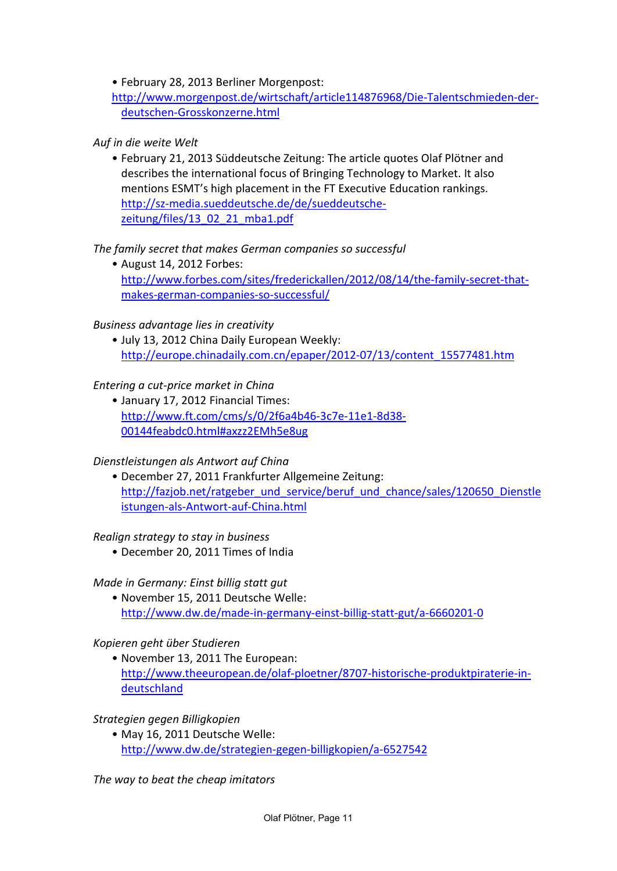• February 28, 2013 Berliner Morgenpost:

[http://www.morgenpost.de/wirtschaft/article114876968/Die-Talentschmieden-der](http://www.morgenpost.de/wirtschaft/article114876968/Die-Talentschmieden-der-deutschen-Grosskonzerne.html)[deutschen-Grosskonzerne.html](http://www.morgenpost.de/wirtschaft/article114876968/Die-Talentschmieden-der-deutschen-Grosskonzerne.html)

# *Auf in die weite Welt*

• February 21, 2013 Süddeutsche Zeitung: The article quotes Olaf Plötner and describes the international focus of Bringing Technology to Market. It also mentions ESMT's high placement in the FT Executive Education rankings. [http://sz-media.sueddeutsche.de/de/sueddeutsche](http://sz-media.sueddeutsche.de/de/sueddeutsche-zeitung/files/13_02_21_mba1.pdf)[zeitung/files/13\\_02\\_21\\_mba1.pdf](http://sz-media.sueddeutsche.de/de/sueddeutsche-zeitung/files/13_02_21_mba1.pdf)

# *The family secret that makes German companies so successful*

• August 14, 2012 Forbes: [http://www.forbes.com/sites/frederickallen/2012/08/14/the-family-secret-that](http://www.forbes.com/sites/frederickallen/2012/08/14/the-family-secret-that-makes-german-companies-so-successful/)[makes-german-companies-so-successful/](http://www.forbes.com/sites/frederickallen/2012/08/14/the-family-secret-that-makes-german-companies-so-successful/)

## *Business advantage lies in creativity*

• July 13, 2012 China Daily European Weekly: [http://europe.chinadaily.com.cn/epaper/2012-07/13/content\\_15577481.htm](http://europe.chinadaily.com.cn/epaper/2012-07/13/content_15577481.htm)

## *Entering a cut-price market in China*

• January 17, 2012 Financial Times: [http://www.ft.com/cms/s/0/2f6a4b46-3c7e-11e1-8d38-](http://www.ft.com/cms/s/0/2f6a4b46-3c7e-11e1-8d38-00144feabdc0.html#axzz2EMh5e8ug) [00144feabdc0.html#axzz2EMh5e8ug](http://www.ft.com/cms/s/0/2f6a4b46-3c7e-11e1-8d38-00144feabdc0.html#axzz2EMh5e8ug)

## *Dienstleistungen als Antwort auf China*

• December 27, 2011 Frankfurter Allgemeine Zeitung: [http://fazjob.net/ratgeber\\_und\\_service/beruf\\_und\\_chance/sales/120650\\_Dienstle](http://fazjob.net/ratgeber_und_service/beruf_und_chance/sales/120650_Dienstleistungen-als-Antwort-auf-China.html) [istungen-als-Antwort-auf-China.html](http://fazjob.net/ratgeber_und_service/beruf_und_chance/sales/120650_Dienstleistungen-als-Antwort-auf-China.html)

## *Realign strategy to stay in business*

• December 20, 2011 Times of India

## *Made in Germany: Einst billig statt gut*

• November 15, 2011 Deutsche Welle: <http://www.dw.de/made-in-germany-einst-billig-statt-gut/a-6660201-0>

## *Kopieren geht über Studieren*

• November 13, 2011 The European: [http://www.theeuropean.de/olaf-ploetner/8707-historische-produktpiraterie-in](http://www.theeuropean.de/olaf-ploetner/8707-historische-produktpiraterie-in-deutschland)[deutschland](http://www.theeuropean.de/olaf-ploetner/8707-historische-produktpiraterie-in-deutschland)

## *Strategien gegen Billigkopien*

• May 16, 2011 Deutsche Welle: <http://www.dw.de/strategien-gegen-billigkopien/a-6527542>

*The way to beat the cheap imitators*